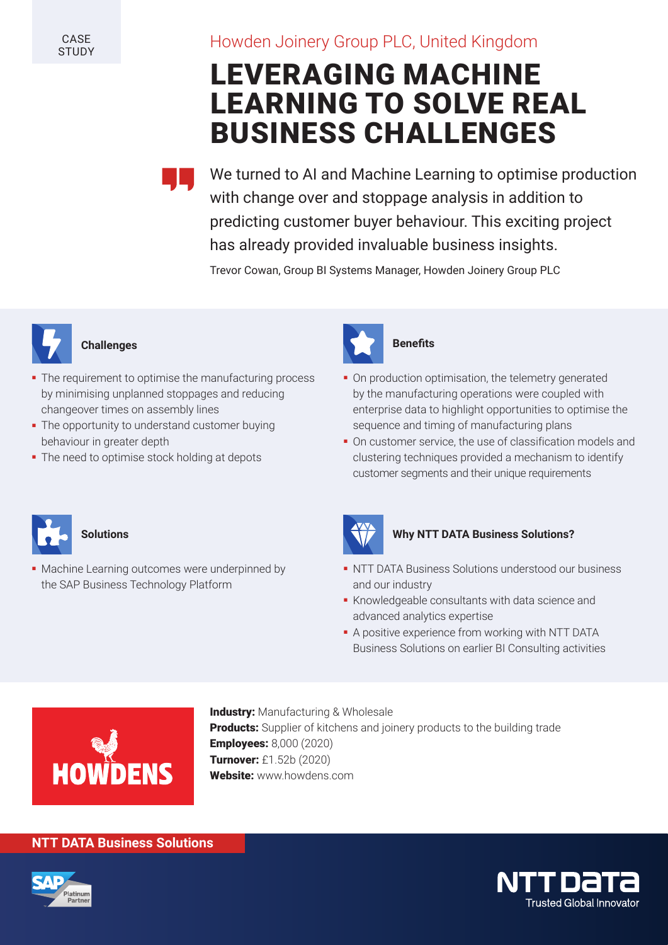**CASE STUDY** 

# Howden Joinery Group PLC, United Kingdom

# LEVERAGING MACHINE LEARNING TO SOLVE REAL BUSINESS CHALLENGES

We turned to AI and Machine Learning to optimise production with change over and stoppage analysis in addition to predicting customer buyer behaviour. This exciting project has already provided invaluable business insights.

Trevor Cowan, Group BI Systems Manager, Howden Joinery Group PLC



## **Challenges**

- The requirement to optimise the manufacturing process by minimising unplanned stoppages and reducing changeover times on assembly lines
- The opportunity to understand customer buying behaviour in greater depth
- The need to optimise stock holding at depots



# **Benefits**

- On production optimisation, the telemetry generated by the manufacturing operations were coupled with enterprise data to highlight opportunities to optimise the sequence and timing of manufacturing plans
- On customer service, the use of classification models and clustering techniques provided a mechanism to identify customer segments and their unique requirements



#### **Solutions**

Machine Learning outcomes were underpinned by the SAP Business Technology Platform



#### **Why NTT DATA Business Solutions?**

- NTT DATA Business Solutions understood our business and our industry
- Knowledgeable consultants with data science and advanced analytics expertise
- A positive experience from working with NTT DATA Business Solutions on earlier BI Consulting activities



**Industry:** Manufacturing & Wholesale Products: Supplier of kitchens and joinery products to the building trade Employees: 8,000 (2020) Turnover: £1.52b (2020) Website: www.howdens.com

### **NTT DATA Business Solutions**